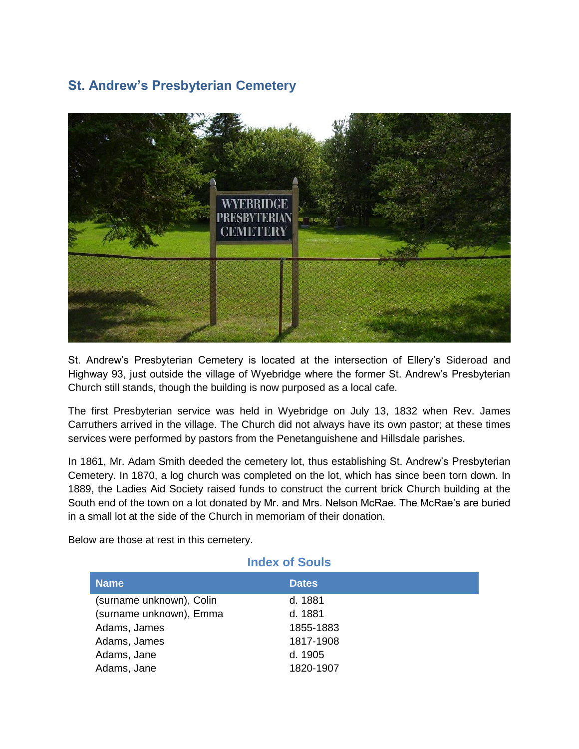## **St. Andrew's Presbyterian Cemetery**



St. Andrew's Presbyterian Cemetery is located at the intersection of Ellery's Sideroad and Highway 93, just outside the village of Wyebridge where the former St. Andrew's Presbyterian Church still stands, though the building is now purposed as a local cafe.

The first Presbyterian service was held in Wyebridge on July 13, 1832 when Rev. James Carruthers arrived in the village. The Church did not always have its own pastor; at these times services were performed by pastors from the Penetanguishene and Hillsdale parishes.

In 1861, Mr. Adam Smith deeded the cemetery lot, thus establishing St. Andrew's Presbyterian Cemetery. In 1870, a log church was completed on the lot, which has since been torn down. In 1889, the Ladies Aid Society raised funds to construct the current brick Church building at the South end of the town on a lot donated by Mr. and Mrs. Nelson McRae. The McRae's are buried in a small lot at the side of the Church in memoriam of their donation.

Below are those at rest in this cemetery.

| <b>Index of Souls</b>    |              |  |
|--------------------------|--------------|--|
| <b>Name</b>              | <b>Dates</b> |  |
| (surname unknown), Colin | d. 1881      |  |
| (surname unknown), Emma  | d. 1881      |  |
| Adams, James             | 1855-1883    |  |
| Adams, James             | 1817-1908    |  |
| Adams, Jane              | d. 1905      |  |
| Adams, Jane              | 1820-1907    |  |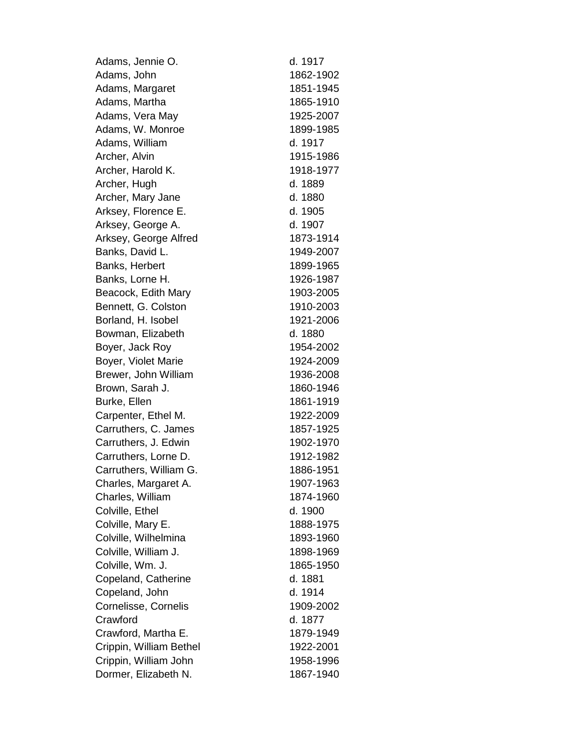Adams, Jennie O. d. 1917 Adams, John 1862-1902 Adams, Margaret 1851-1945 Adams, Martha 1865-1910 Adams, Vera May 1925-2007 Adams, W. Monroe 1899-1985 Adams, William d. 1917 Archer, Alvin 1915-1986 Archer, Harold K. 1918-1977 Archer, Hugh d. 1889 Archer, Mary Jane d. 1880 Arksey, Florence E. d. 1905 Arksey, George A. d. 1907 Arksey, George Alfred 1873-1914 Banks, David L. 1949-2007 Banks, Herbert 1899-1965 Banks, Lorne H. 1926-1987 Beacock, Edith Mary 1903-2005 Bennett, G. Colston 1910-2003 Borland, H. Isobel 1921-2006 Bowman, Elizabeth d. 1880 Boyer, Jack Roy 1954-2002 Boyer, Violet Marie 1924-2009 Brewer, John William 1936-2008 Brown, Sarah J. 1860-1946 Burke, Ellen 1861-1919 Carpenter, Ethel M. 1922-2009 Carruthers, C. James -1925 Carruthers, J. Edwin 1902-1970 Carruthers, Lorne D. 1912-1982 Carruthers, William G. 1886-1951 Charles, Margaret A. 1907-1963 Charles, William 1874-1960 Colville, Ethel d. 1900 Colville, Mary E. 1888-1975 Colville, Wilhelmina 1893-1960 Colville, William J. 1898-1969 Colville, Wm. J. 1865-1950 Copeland, Catherine d. 1881 Copeland, John d. 1914 Cornelisse, Cornelis 1909-2002 Crawford d. 1877 Crawford, Martha E. 1879-1949 Crippin, William Bethel 1922-2001 Crippin, William John 1958-1996 Dormer, Elizabeth N. 1867-1940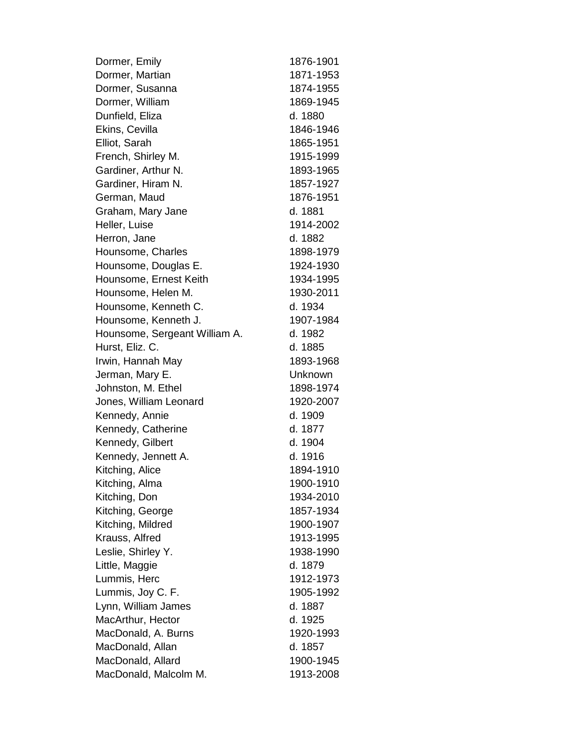Dormer, Emily 1876-1901 Dormer, Martian 1871-1953 Dormer, Susanna 1874-1955 Dormer, William 1869-1945 Dunfield, Eliza d. 1880 Ekins, Cevilla 1846-1946 Elliot, Sarah 1865-1951 French, Shirley M. 1915-1999 Gardiner, Arthur N. 1893-1965 Gardiner, Hiram N. 1857-1927 German, Maud 1876-1951 Graham, Mary Jane d. 1881 Heller, Luise 1914-2002 Herron, Jane d. 1882 Hounsome, Charles 1898-1979 Hounsome, Douglas E. 1924-1930 Hounsome, Ernest Keith 1934-1995 Hounsome, Helen M. 1930-2011 Hounsome, Kenneth C. **d. 1934** Hounsome, Kenneth J. 1907-1984 Hounsome, Sergeant William A. d. 1982 Hurst, Eliz. C. d. 1885 Irwin, Hannah May 1893-1968 Jerman, Mary E. **Warehouse Communist Communist Communist Communist Communist Communist Communist Communist Communist Communist Communist Communist Communist Communist Communist Communist Communist Communist Communist Commu** Johnston, M. Ethel 1898-1974 Jones, William Leonard 1920-2007 Kennedy, Annie d. 1909 Kennedy, Catherine d. 1877 Kennedy, Gilbert d. 1904 Kennedy, Jennett A. d. 1916 Kitching, Alice 1894-1910 Kitching, Alma 1900-1910 Kitching, Don 1934-2010 Kitching, George 1857-1934 Kitching, Mildred 1900-1907 Krauss, Alfred 1913-1995 Leslie, Shirley Y. 1938-1990 Little, Maggie d. 1879 Lummis, Herc 1912-1973 Lummis, Joy C. F. 1905-1992 Lynn, William James d. 1887 MacArthur, Hector d. 1925 MacDonald, A. Burns 1920-1993 MacDonald, Allan d. 1857 MacDonald, Allard 1900-1945 MacDonald, Malcolm M. 1913-2008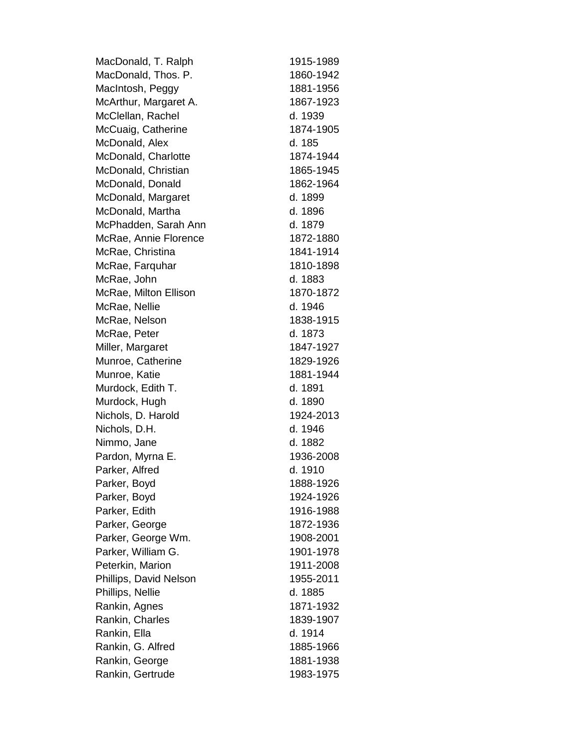MacDonald, T. Ralph 1915-1989 MacDonald, Thos. P. 1860-1942 MacIntosh, Peggy 1881-1956 McArthur, Margaret A. 1867-1923 McClellan, Rachel d. 1939 McCuaig, Catherine 1874-1905 McDonald, Alex d. 185 McDonald, Charlotte 1874-1944 McDonald, Christian 1865-1945 McDonald, Donald 1862-1964 McDonald, Margaret d. 1899 McDonald, Martha d. 1896 McPhadden, Sarah Ann d. 1879 McRae, Annie Florence 1872-1880 McRae, Christina -1914 McRae, Farquhar 1810-1898 McRae, John d. 1883 McRae, Milton Ellison 1870-1872 McRae, Nellie d. 1946 McRae, Nelson 1838-1915 McRae, Peter d. 1873 Miller, Margaret 1847-1927 Munroe, Catherine 1829-1926 Munroe, Katie -1944 Murdock, Edith T. d. 1891 Murdock, Hugh d. 1890 Nichols, D. Harold 1924-2013 Nichols, D.H. d. 1946 Nimmo, Jane d. 1882 Pardon, Myrna E. 1936-2008 Parker, Alfred d. 1910 Parker, Boyd 1888-1926 Parker, Boyd 1924-1926 Parker, Edith 1916-1988 Parker, George 1872-1936 Parker, George Wm. 1908-2001 Parker, William G. 1901-1978 Peterkin, Marion 1911-2008 Phillips, David Nelson 1955-2011 Phillips, Nellie d. 1885 Rankin, Agnes -1932 Rankin, Charles 1839-1907 Rankin, Ella d. 1914 Rankin, G. Alfred 1885-1966 Rankin, George 1881-1938 Rankin, Gertrude 1983-1975